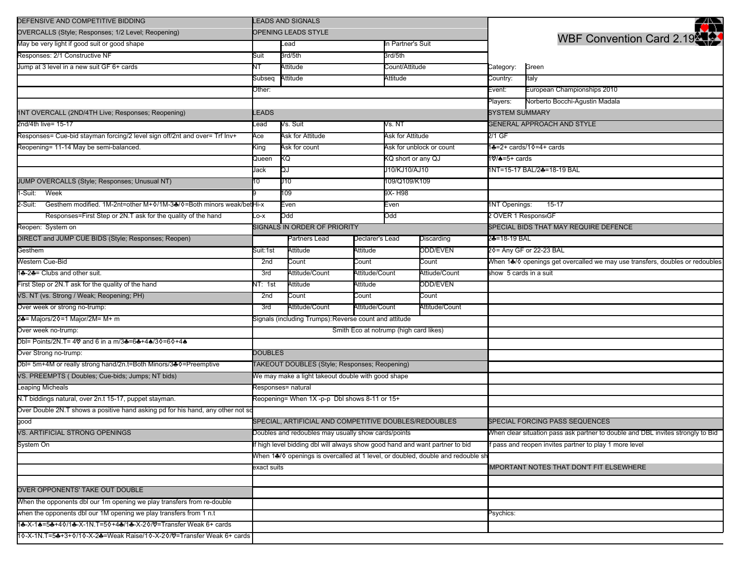| DEFENSIVE AND COMPETITIVE BIDDING                                                         | <b>LEADS AND SIGNALS</b>                                                        |                                               |          |                          |                |                                                                                 | ₩                                                    |
|-------------------------------------------------------------------------------------------|---------------------------------------------------------------------------------|-----------------------------------------------|----------|--------------------------|----------------|---------------------------------------------------------------------------------|------------------------------------------------------|
| OVERCALLS (Style; Responses; 1/2 Level; Reopening)                                        | OPENING LEADS STYLE                                                             |                                               |          |                          |                |                                                                                 |                                                      |
| May be very light if good suit or good shape                                              |                                                                                 | Lead                                          |          | In Partner's Suit        |                | WBF Convention Card 2.19                                                        |                                                      |
| Responses: 2/1 Constructive NF                                                            | Suit                                                                            | 3rd/5th<br>3rd/5th                            |          |                          |                |                                                                                 |                                                      |
| Jump at 3 level in a new suit GF 6+ cards                                                 | NT                                                                              | Attitude                                      |          | Count/Attitude           |                | Category:                                                                       | Green                                                |
|                                                                                           | Subseq                                                                          | Attitude                                      |          | Attitude                 |                | Country:                                                                        | Italy                                                |
|                                                                                           | )ther:                                                                          |                                               |          |                          |                | Event:                                                                          | European Championships 2010                          |
|                                                                                           |                                                                                 |                                               |          |                          |                | Players:                                                                        | Norberto Bocchi-Agustin Madala                       |
| 1NT OVERCALL (2ND/4TH Live; Responses; Reopening)                                         | LEADS                                                                           |                                               |          |                          |                | <b>SYSTEM SUMMARY</b>                                                           |                                                      |
| 2nd/4th live= 15-17                                                                       | Lead                                                                            | Vs. Suit                                      |          | Vs. NT                   |                |                                                                                 | <b>GENERAL APPROACH AND STYLE</b>                    |
| Responses= Cue-bid stayman forcing/2 level sign off/2nt and over= Trf Inv+                | Ace                                                                             | Ask for Attitude                              |          | Ask for Attitude         |                | $2/1$ GF                                                                        |                                                      |
| Reopening= 11-14 May be semi-balanced.                                                    | King                                                                            | Ask for count                                 |          | Ask for unblock or count |                |                                                                                 | 1♣=2+ cards/1♦=4+ cards                              |
|                                                                                           | Queen                                                                           | KQ                                            |          | KQ short or any QJ       |                | 1 <b>V/≜</b> =5+ cards                                                          |                                                      |
|                                                                                           | Jack                                                                            | QJ                                            |          | J10/KJ10/AJ10            |                | 1NT=15-17 BAL/2♣=18-19 BAL                                                      |                                                      |
| JUMP OVERCALLS (Style; Responses; Unusual NT)                                             | 10                                                                              | J10                                           |          | 109/Q109/K109            |                |                                                                                 |                                                      |
| Week<br>l-Suit:                                                                           |                                                                                 | 9X- H98<br>109                                |          |                          |                |                                                                                 |                                                      |
| Gesthem modified. 1M-2nt=other M+0/1M-3&/ $\Diamond$ =Both minors weak/betHi-x<br>2-Suit: |                                                                                 | Even                                          |          | Even                     |                | <b>1NT Openings:</b>                                                            | $15-17$                                              |
| Responses=First Step or 2N.T ask for the quality of the hand                              | $-0-X$                                                                          | Odd                                           |          | Odd                      |                | 2 OVER 1 Respons(GF                                                             |                                                      |
| Reopen: System on                                                                         |                                                                                 | SIGNALS IN ORDER OF PRIORITY                  |          |                          |                | SPECIAL BIDS THAT MAY REQUIRE DEFENCE                                           |                                                      |
| DIRECT and JUMP CUE BIDS (Style; Responses; Reopen)                                       |                                                                                 | Partners Lead<br>Declarer's Lead              |          | Discarding               | 2♣=18-19 BAL   |                                                                                 |                                                      |
| Gesthem                                                                                   | Suit:1st                                                                        | Attitude                                      | Attitude | ODD/EVEN                 |                |                                                                                 | 20= Any GF or 22-23 BAL                              |
| Western Cue-Bid                                                                           | 2nd                                                                             | Count                                         | Count    |                          | Count          | When 1♣/♦ openings get overcalled we may use transfers, doubles or redoubles    |                                                      |
| 14-24 = Clubs and other suit.                                                             | 3rd                                                                             | Attitude/Count<br>Attitude/Count              |          |                          | Attiude/Count  | show 5 cards in a suit                                                          |                                                      |
| First Step or 2N.T ask for the quality of the hand                                        | NT: 1st                                                                         | Attitude<br>Attitude                          |          |                          | ODD/EVEN       |                                                                                 |                                                      |
| VS. NT (vs. Strong / Weak; Reopening; PH)                                                 | 2nd                                                                             | Count<br>Count                                |          |                          | Count          |                                                                                 |                                                      |
| Over week or strong no-trump:                                                             | 3rd                                                                             | Attitude/Count<br>Attitude/Count              |          |                          | Attitude/Count |                                                                                 |                                                      |
| 2♣= Majors/2♦=1 Major/2M= M+ m                                                            | Signals (including Trumps): Reverse count and attitude                          |                                               |          |                          |                |                                                                                 |                                                      |
| Over week no-trump:                                                                       |                                                                                 | Smith Eco at notrump (high card likes)        |          |                          |                |                                                                                 |                                                      |
| Dbl= Points/2N.T= 4♡ and 6 in a m/3♣=6♣+4♠/3♦=6♦+4♠                                       |                                                                                 |                                               |          |                          |                |                                                                                 |                                                      |
| Over Strong no-trump:                                                                     | <b>DOUBLES</b>                                                                  |                                               |          |                          |                |                                                                                 |                                                      |
| Dbl= 5m+4M or really strong hand/2n.t=Both Minors/3♣ 0=Preemptive                         |                                                                                 | TAKEOUT DOUBLES (Style; Responses; Reopening) |          |                          |                |                                                                                 |                                                      |
| VS. PREEMPTS (Doubles; Cue-bids; Jumps; NT bids)                                          | We may make a light takeout double with good shape                              |                                               |          |                          |                |                                                                                 |                                                      |
| <b>Leaping Micheals</b>                                                                   | Responses= natural                                                              |                                               |          |                          |                |                                                                                 |                                                      |
| N.T biddings natural, over 2n.t 15-17, puppet stayman.                                    |                                                                                 | Reopening= When 1X -p-p Dbl shows 8-11 or 15+ |          |                          |                |                                                                                 |                                                      |
| Over Double 2N.T shows a positive hand asking pd for his hand, any other not so           |                                                                                 |                                               |          |                          |                |                                                                                 |                                                      |
| good                                                                                      | SPECIAL, ARTIFICIAL AND COMPETITIVE DOUBLES/REDOUBLES                           |                                               |          |                          |                |                                                                                 | SPECIAL FORCING PASS SEQUENCES                       |
| VS. ARTIFICIAL STRONG OPENINGS                                                            | Doubles and redoubles may usually show cards/points                             |                                               |          |                          |                | When clear situation pass ask partner to double and DBL invites strongly to Bid |                                                      |
| System On                                                                                 | f high level bidding dbl will always show good hand and want partner to bid     |                                               |          |                          |                |                                                                                 | pass and reopen invites partner to play 1 more level |
|                                                                                           | When 1♣/◊ openings is overcalled at 1 level, or doubled, double and redouble sh |                                               |          |                          |                |                                                                                 |                                                      |
|                                                                                           | exact suits                                                                     |                                               |          |                          |                |                                                                                 | <b>IMPORTANT NOTES THAT DON'T FIT ELSEWHERE</b>      |
|                                                                                           |                                                                                 |                                               |          |                          |                |                                                                                 |                                                      |
| OVER OPPONENTS' TAKE OUT DOUBLE                                                           |                                                                                 |                                               |          |                          |                |                                                                                 |                                                      |
| When the opponents dbl our 1m opening we play transfers from re-double                    |                                                                                 |                                               |          |                          |                |                                                                                 |                                                      |
| when the opponents dbl our 1M opening we play transfers from 1 n.t                        |                                                                                 |                                               |          |                          | Psychics:      |                                                                                 |                                                      |
| 1&-X-1&=5&+40/1&-X-1N.T=50+4&/1&-X-20/Q=Transfer Weak 6+ cards                            |                                                                                 |                                               |          |                          |                |                                                                                 |                                                      |
| 1 0-X-1N.T=5♣+3+0/1 0-X-2♣=Weak Raise/1 0-X-2 0/♡=Transfer Weak 6+ cards                  |                                                                                 |                                               |          |                          |                |                                                                                 |                                                      |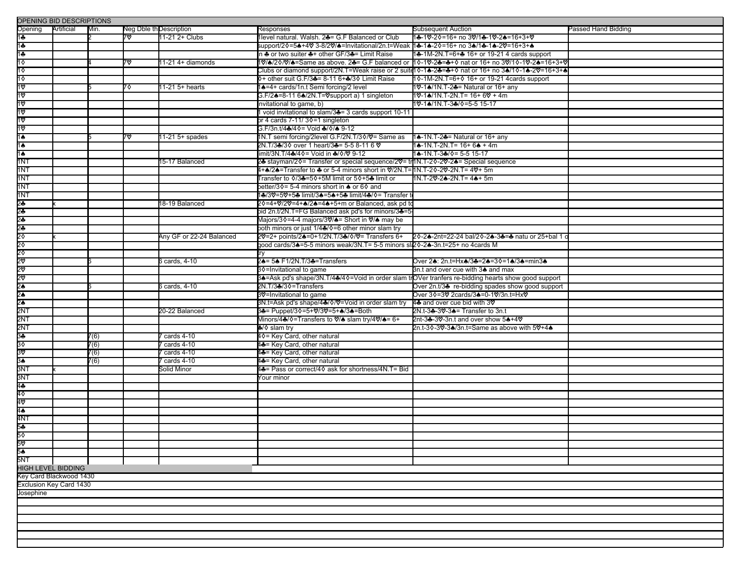| OPENING BID DESCRIPTIONS       |            |      |    |                          |                                                                                                     |                                                                                              |                     |  |  |  |  |
|--------------------------------|------------|------|----|--------------------------|-----------------------------------------------------------------------------------------------------|----------------------------------------------------------------------------------------------|---------------------|--|--|--|--|
| Opening                        | Artificial | Min. |    | Neg Dble th Description  | Responses                                                                                           | Subsequent Auction                                                                           | Passed Hand Bidding |  |  |  |  |
| 1÷                             |            |      | 7ত | 11-21 2+ Clubs           | 1level natural. Walsh. 24= G.F Balanced or Club                                                     | 1♣-1♡-2♦=16+ no 3♡/1♣-1♡-2♠=16+3+♡                                                           |                     |  |  |  |  |
| $1 +$                          |            |      |    |                          | support/2�=5♣+4♡ 3-8/2♡/♣=Invitational/2n.t=Weak 1♣-1♣-2�=16+ no 3♠/1♣-1♠-2♡=16+3+♠                 |                                                                                              |                     |  |  |  |  |
| 1÷                             |            |      |    |                          | in ♣ or two suiter ♣+ other GF/3♣= Limit Raise                                                      | 1♣-1M-2N.T=6+♣ 16+ or 19-21 4 cards support                                                  |                     |  |  |  |  |
| $1\diamond$                    |            |      | 7∨ | 11-21 4+ diamonds        |                                                                                                     | 1V/♦/2◊/V/♦=Same as above. 2♣= G.F balanced or 1◊-1Ⅴ-2♣=♣+◊ nat or 16+ no 3V/1◊-1Ⅴ-2♠=16+3+९ |                     |  |  |  |  |
| 10                             |            |      |    |                          |                                                                                                     |                                                                                              |                     |  |  |  |  |
| 10                             |            |      |    |                          | 0+ other suit G.F/3♣= 8-11 6+♣/30 Limit Raise                                                       | 10-1M-2N.T=6+0 16+ or 19-21 4 cards support                                                  |                     |  |  |  |  |
| 10                             |            |      | 70 | 11-21 5+ hearts          | 1 <sup>4</sup> =4+ cards/1n.t Semi forcing/2 level                                                  | 10-14/1N.T-24 = Natural or 16+ any                                                           |                     |  |  |  |  |
| 10                             |            |      |    |                          | G.F/2♣=8-11 6♠/2N.T=♡support a) 1 singleton                                                         | 1♡-1♠/1N.T-2N.T= 16+ 6♡ + 4m                                                                 |                     |  |  |  |  |
| 10                             |            |      |    |                          | invitational to game, b)                                                                            | 1♡-1♠/1N.T-3♣/◊=5-5 15-17                                                                    |                     |  |  |  |  |
| 1ত                             |            |      |    |                          | 1 void invitational to slam/34= 3 cards support 10-11                                               |                                                                                              |                     |  |  |  |  |
| 1ত                             |            |      |    |                          | or 4 cards 7-11/30=1 singleton                                                                      |                                                                                              |                     |  |  |  |  |
| 1♡                             |            |      |    |                          | G.F/3n.t/4♣/4♦= Void ♣/♦/♠ 9-12                                                                     |                                                                                              |                     |  |  |  |  |
| $\overline{16}$                |            |      | 7♡ | 11-21 5+ spades          | 1N.T semi forcing/2level G.F/2N.T/30/0 = Same as                                                    | 14-1N.T-24 = Natural or 16+ any                                                              |                     |  |  |  |  |
| 1♠                             |            |      |    |                          | 2N.T/3♣/3♦ over 1 heart/3♣= 5-5 8-11 6 ♥                                                            | 1♠-1N.T-2N.T= 16+ 6♠ + 4m                                                                    |                     |  |  |  |  |
| 1♠                             |            |      |    |                          | limit/3N.T/4♣/4�= Void in ♣/�/♡ 9-12                                                                | 1♣-1N.T-3♣/ $\diamond$ = 5-5 15-17                                                           |                     |  |  |  |  |
| 1NT                            |            |      |    | 15-17 Balanced           | 2♣ stayman/2♦= Transfer or special sequence/2♥= tr[1N.T-2♦-2♥-2♣= Special sequence                  |                                                                                              |                     |  |  |  |  |
| 1NT                            |            |      |    |                          | l+♠/2♠=Transfer to ♣ or 5-4 minors short in ♡/2N.T=1N.T-2◊-2♡-2N.T= 4♡+ 5m                          |                                                                                              |                     |  |  |  |  |
| 1NT                            |            |      |    |                          | Transfer to 0/3♣=50+5M limit or 50+5♣ limit or                                                      | 1N.T-20-2♠-2N.T= 4♠+ 5m                                                                      |                     |  |  |  |  |
| 1N1                            |            |      |    |                          | better/3¢= 5-4 minors short in ▲ or 6¢ and                                                          |                                                                                              |                     |  |  |  |  |
| 1NT                            |            |      |    |                          | 1♣/3♡=5♡+5♣ limit/3♠=5♠+5♣ limit/4♣/◊= Transfer t                                                   |                                                                                              |                     |  |  |  |  |
|                                |            |      |    | 8-19 Balanced            | 20=4+0/20=4+▲/2▲=4▲+5+m or Balanced, ask pd to                                                      |                                                                                              |                     |  |  |  |  |
|                                |            |      |    |                          | bid 2n.t/2N.T=FG Balanced ask pd's for minors/34=5-                                                 |                                                                                              |                     |  |  |  |  |
|                                |            |      |    |                          | Majors/30=4-4 majors/3♡/▲= Short in ♡/▲ may be                                                      |                                                                                              |                     |  |  |  |  |
|                                |            |      |    |                          | both minors or just 1/44/0=6 other minor slam try                                                   |                                                                                              |                     |  |  |  |  |
|                                |            |      |    | Any GF or 22-24 Balanced | 20 = 2+ points/24 = 0 + 1/2N. T/34 / 0 / 0 = Transfers 6 +                                          | 20-2▲-2nt=22-24 bal/20-2▲-3♣=♣ natu or 25+bal 1                                              |                     |  |  |  |  |
|                                |            |      |    |                          | good cards/34=5-5 minors weak/3N.T= 5-5 minors sl20-24-3n.t=25+ no 4cards M                         |                                                                                              |                     |  |  |  |  |
|                                |            |      |    |                          |                                                                                                     |                                                                                              |                     |  |  |  |  |
|                                |            |      |    | 6 cards, 4-10            | 2♠= 5♠ F1/2N.T/3♣=Transfers                                                                         | Over 2♠: 2n.t=Hx♠/3♣=2♠=3♦=1♠/3♠=min3♠                                                       |                     |  |  |  |  |
|                                |            |      |    |                          | 30=Invitational to game                                                                             | 3n.t and over cue with 3▲ and max                                                            |                     |  |  |  |  |
|                                |            |      |    |                          | 3♣=Ask pd's shape/3N.T/4♣/4♦=Void in order slam trOVer tranfers re-bidding hearts show good support |                                                                                              |                     |  |  |  |  |
|                                |            |      |    | 6 cards, 4-10            | 2N.T/3♣/3♦=Transfers                                                                                | Over 2n.t/3♣ re-bidding spades show good support                                             |                     |  |  |  |  |
|                                |            |      |    |                          | 3V=Invitational to game                                                                             | Over 3♦=3♡ 2cards/3♣=0-1♡/3n.t=Hx♡                                                           |                     |  |  |  |  |
|                                |            |      |    |                          | 3N.t=Ask pd's shape/4♣/◊/♡=Void in order slam try                                                   | 44 and over cue bid with 30                                                                  |                     |  |  |  |  |
|                                |            |      |    | 20-22 Balanced           | 3♣= Puppet/3♦=5+♥/3♥=5+♠/3♠=Both                                                                    | 2N.t-3♣-3♡-3♠= Transfer to 3n.t                                                              |                     |  |  |  |  |
| 2NT                            |            |      |    |                          | Minors/4♣/♦=Transfers to ♡/♠ slam try/4♡/♠= 6+                                                      | 2nt-3♣-3♡-3n.t and over show 5♠+4♡                                                           |                     |  |  |  |  |
| 2NT                            |            |      |    |                          | <b>‰</b> / o slam try                                                                               | 2n.t-30-30-3▲/3n.t=Same as above with 50+4▲                                                  |                     |  |  |  |  |
| $\frac{3\clubsuit}{30}$        |            | 7(6) |    | cards 4-10               | 4♦= Key Card, other natural                                                                         |                                                                                              |                     |  |  |  |  |
|                                |            | 7(6) |    | cards 4-10               | 4- Key Card, other natural                                                                          |                                                                                              |                     |  |  |  |  |
|                                |            | 7(6) |    | cards 4-10               | 4- Key Card, other natural                                                                          |                                                                                              |                     |  |  |  |  |
|                                |            | 7(6) |    | cards 4-10               | 4- Key Card, other natural                                                                          |                                                                                              |                     |  |  |  |  |
| .<br>3N1                       |            |      |    | Solid Minor              | 4♣= Pass or correct/4♦ ask for shortness/4N.T= Bid                                                  |                                                                                              |                     |  |  |  |  |
| 3N1                            |            |      |    |                          | Your minor                                                                                          |                                                                                              |                     |  |  |  |  |
| 4♣                             |            |      |    |                          |                                                                                                     |                                                                                              |                     |  |  |  |  |
| 40                             |            |      |    |                          |                                                                                                     |                                                                                              |                     |  |  |  |  |
| 40                             |            |      |    |                          |                                                                                                     |                                                                                              |                     |  |  |  |  |
| 4♠                             |            |      |    |                          |                                                                                                     |                                                                                              |                     |  |  |  |  |
| 4NT                            |            |      |    |                          |                                                                                                     |                                                                                              |                     |  |  |  |  |
| 5♣<br>5^                       |            |      |    |                          |                                                                                                     |                                                                                              |                     |  |  |  |  |
|                                |            |      |    |                          |                                                                                                     |                                                                                              |                     |  |  |  |  |
| 5<br>5≜                        |            |      |    |                          |                                                                                                     |                                                                                              |                     |  |  |  |  |
|                                |            |      |    |                          |                                                                                                     |                                                                                              |                     |  |  |  |  |
| 5NT                            |            |      |    |                          |                                                                                                     |                                                                                              |                     |  |  |  |  |
| <b>HIGH LEVEL BIDDING</b>      |            |      |    |                          |                                                                                                     |                                                                                              |                     |  |  |  |  |
| Key Card Blackwood 1430        |            |      |    |                          |                                                                                                     |                                                                                              |                     |  |  |  |  |
| <b>Exclusion Key Card 1430</b> |            |      |    |                          |                                                                                                     |                                                                                              |                     |  |  |  |  |
| Josephine                      |            |      |    |                          |                                                                                                     |                                                                                              |                     |  |  |  |  |
|                                |            |      |    |                          |                                                                                                     |                                                                                              |                     |  |  |  |  |
|                                |            |      |    |                          |                                                                                                     |                                                                                              |                     |  |  |  |  |
|                                |            |      |    |                          |                                                                                                     |                                                                                              |                     |  |  |  |  |
|                                |            |      |    |                          |                                                                                                     |                                                                                              |                     |  |  |  |  |
|                                |            |      |    |                          |                                                                                                     |                                                                                              |                     |  |  |  |  |
|                                |            |      |    |                          |                                                                                                     |                                                                                              |                     |  |  |  |  |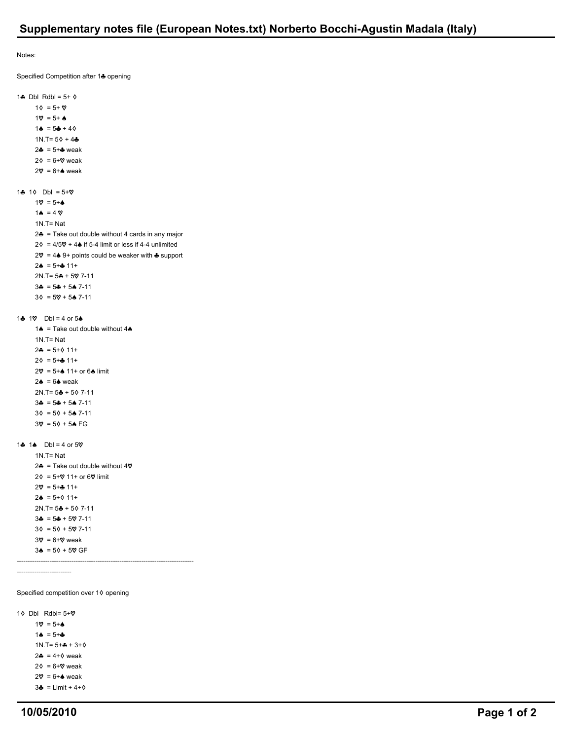Notes:

Specified Competition after 14 opening

1 $\clubsuit$  Dbl Rdbl = 5+  $\diamond$  $1\Diamond = 5 + \heartsuit$  $1\% = 5 + 4$  $1\spadesuit = 5\clubsuit + 4\lozenge$ 1N.T=  $5\Diamond + 4\clubsuit$  $2 - 5 + 2$  weak  $2\Diamond = 6 + \heartsuit$  weak  $2\heartsuit = 6 + \spadesuit$  weak 1 $\clubsuit$  1 $\lozenge$  Dbl = 5+ $\heartsuit$  $1\heartsuit = 5 + \spadesuit$  $1 \triangle$  = 4  $\heartsuit$  1N.T= Nat  $2\clubsuit$  = Take out double without 4 cards in any major  $2\Diamond = 4/5\Diamond + 4\Diamond$  if 5-4 limit or less if 4-4 unlimited  $2\heartsuit = 4\spadesuit 9+$  points could be weaker with  $\clubsuit$  support  $2\spadesuit$  = 5+ $\clubsuit$  11+  $2N.T = 5 + 507 - 11$  $3\clubsuit = 5\clubsuit + 5\spadesuit$  7-11  $3\Diamond = 5\degree + 5\clubsuit$  7-11 1 $\clubsuit$  1 $\heartsuit$  Dbl = 4 or 5 $\spadesuit$ 1 $\triangle$  = Take out double without 4 $\triangle$  1N.T= Nat  $2\clubsuit = 5+\lozenge +11+$  $2\phi = 5 + \frac{1}{2} 11 +$  $2\heartsuit = 5 + \spadesuit 11 + \text{ or } 6 \spadesuit$  limit  $2\spadesuit$  = 6 $\spadesuit$  weak  $2N.T = 5 + 5$  7-11  $3\clubsuit = 5\clubsuit + 5\spadesuit$  7-11  $3\delta = 5\delta + 5\spadesuit$  7-11  $3\% = 5\lozenge + 5\spadesuit$  FG 1 $\clubsuit$  1 $\spadesuit$  Dbl = 4 or 50 1N.T= Nat 2 $\triangleq$  = Take out double without 4 $\heartsuit$  $2\Diamond = 5+\Diamond$  11+ or 6 $\Diamond$  limit  $2\% = 5 + 11 +$  $2\spadesuit$  = 5+ $\lozenge$  11+  $2N.T = 5 + 507 - 11$  $3\clubsuit = 5\clubsuit + 5\%$  7-11  $3\Diamond = 5\Diamond + 5\%$  7-11  $3\heartsuit = 6+\heartsuit$  weak  $3\spadesuit$  = 5 $\lozenge$  + 5 $\heartsuit$  GF --------------------------------------------------------------------------------- ------------------------- Specified competition over  $1\diamond$  opening

1 $\diamond$  Dbl Rdbl= 5+ $\diamond$  $1\heartsuit = 5 + \spadesuit$  $1 \spadesuit = 5 + \clubsuit$  $1N.T = 5 + + + 3 + 0$  $2\clubsuit = 4+\diamond$  weak  $2\delta = 6 + \mathcal{O}$  weak  $2\mathbf{V} = 6 + \mathbf{A}$  weak  $3\clubsuit$  = Limit + 4+ $\diamond$